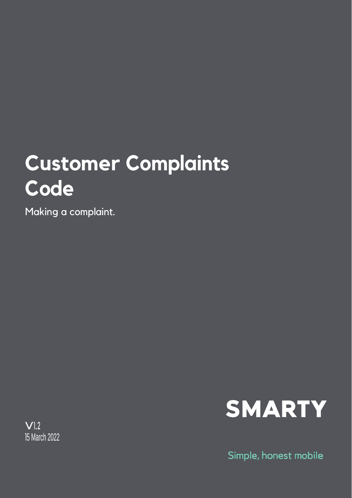## **Customer Complaints Code**

Making a complaint.



Simple, honest mobile

 $V<sub>1.2</sub>$ 15 March 2022